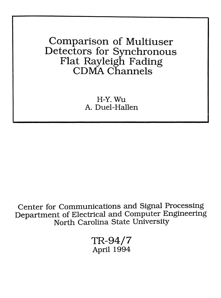Comparison of Multiuser Detectors for Synchronous Flat Rayleigh Fading CDMA Channels

> H-Y.Wu A. Duel-Hallen

.Center for Communications and Signal Processing Department of Electrical and Computer Engineering North Carolina State University

> ~TR-94/7 April 1994